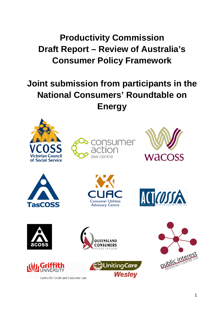# **Productivity Commission Draft Report – Review of Australia's Consumer Policy Framework**

## **Joint submission from participants in the National Consumers' Roundtable on Energy**

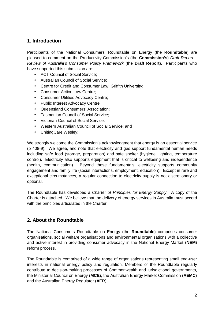#### **1. Introduction**

Participants of the National Consumers' Roundtable on Energy (the **Roundtable**) are pleased to comment on the Productivity Commission's (the **Commission's**) Draft Report – Review of Australia's Consumer Policy Framework (the **Draft Report**). Participants who have supported this submission are:

- ACT Council of Social Service;
- Australian Council of Social Service;
- Centre for Credit and Consumer Law, Griffith University;
- Consumer Action Law Centre;
- Consumer Utilities Advocacy Centre;
- Public Interest Advocacy Centre;
- Queensland Consumers' Association;
- Tasmanian Council of Social Service;
- Victorian Council of Social Service;
- Western Australian Council of Social Service; and
- UnitingCare Wesley;

We strongly welcome the Commission's acknowledgment that energy is an essential service (p 408-9). We agree, and note that electricity and gas support fundamental human needs including safe food (storage, preparation) and safe shelter (hygiene, lighting, temperature control). Electricity also supports equipment that is critical to wellbeing and independence (health, communication). Beyond these fundamentals, electricity supports community engagement and family life (social interactions, employment, education). Except in rare and exceptional circumstances, a regular connection to electricity supply is not discretionary or optional.

The Roundtable has developed a Charter of Principles for Energy Supply. A copy of the Charter is attached. We believe that the delivery of energy services in Australia must accord with the principles articulated in the Charter.

## **2. About the Roundtable**

The National Consumers Roundtable on Energy (the **Roundtable**) comprises consumer organisations, social welfare organisations and environmental organisations with a collective and active interest in providing consumer advocacy in the National Energy Market (**NEM**) reform process.

The Roundtable is comprised of a wide range of organisations representing small end-user interests in national energy policy and regulation. Members of the Roundtable regularly contribute to decision-making processes of Commonwealth and jurisdictional governments, the Ministerial Council on Energy (**MCE**), the Australian Energy Market Commission (**AEMC**) and the Australian Energy Regulator (**AER**).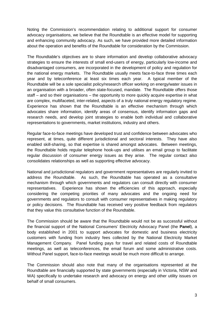Noting the Commission's recommendation relating to additional support for consumer advocacy organisations, we believe that the Roundtable is an effective model for supporting and enhancing community advocacy. As such, we have provided more detailed information about the operation and benefits of the Roundtable for consideration by the Commission.

The Roundtable's objectives are to share information and develop collaborative advocacy strategies to ensure the interests of small end-users of energy, particularly low-income and disadvantaged consumers, are incorporated in the development of policy and regulation for the national energy markets. The Roundtable usually meets face-to-face three times each year and by teleconference at least six times each year. A typical member of the Roundtable will be a sole specialist policy/research officer working on energy/water issues in an organisation with a broader, often state-focused, mandate. The Roundtable offers those staff – and so their organisations – the opportunity to more quickly acquire expertise in what are complex, multifaceted, inter-related, aspects of a truly national energy regulatory regime. Experience has shown that the Roundtable is an effective mechanism through which advocates share information, identify areas of consensus, identify information gaps and research needs, and develop joint strategies to enable both individual and collaborative representations to governments, market institutions, industry and others.

Regular face-to-face meetings have developed trust and confidence between advocates who represent, at times, quite different jurisdictional and sectoral interests. They have also enabled skill-sharing, so that expertise is shared amongst advocates. Between meetings, the Roundtable holds regular telephone hook-ups and utilises an email group to facilitate regular discussion of consumer energy issues as they arise. The regular contact also consolidates relationships as well as supporting effective advocacy.

National and jurisdictional regulators and government representatives are regularly invited to address the Roundtable. As such, the Roundtable has operated as a consultative mechanism through which governments and regulators can consult directly with consumer representatives. Experience has shown the efficiencies of this approach, especially considering the competing priorities of many advocates and the ongoing need for governments and regulators to consult with consumer representatives in making regulatory or policy decisions. The Roundtable has received very positive feedback from regulators that they value this consultative function of the Roundtable.

The Commission should be aware that the Roundtable would not be as successful without the financial support of the National Consumers' Electricity Advocacy Panel (the **Panel**), a body established in 2001 to support advocates for domestic and business electricity customers with funding from industry fees collected by the National Electricity Market Management Company. Panel funding pays for travel and related costs of Roundtable meetings, as well as teleconferences, the email forum and some administrative costs. Without Panel support, face-to-face meetings would be much more difficult to arrange.

The Commission should also note that many of the organisations represented at the Roundtable are financially supported by state governments (especially in Victoria, NSW and WA) specifically to undertake research and advocacy on energy and other utility issues on behalf of small consumers.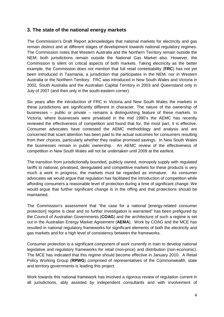#### **3. The state of the national energy markets**

The Commission's Draft Report acknowledges that national markets for electricity and gas remain distinct and at different stages of development towards national regulatory regimes. The Commission notes that Western Australia and the Northern Territory remain outside the NEM; both jurisdictions remain outside the National Gas Market also. However, the Commission is silent on critical aspects of both markets. Taking electricity as the better example, the Commission does not mention that full retail contestability (**FRC**) has not yet been introduced in Tasmania, a jurisdiction that participates in the NEM, nor in Western Australia or the Northern Territory. FRC was introduced in New South Wales and Victoria in 2002, South Australia and the Australian Capital Territory in 2003 and Queensland only in July of 2007 (and then only in the south-eastern corner).

Six years after the introduction of FRC in Victoria and New South Wales the markets in these jurisdictions are significantly different in character. The nature of the ownership of businesses – public or private – remains a distinguishing feature of these markets. In Victoria, where businesses were privatised in the mid 1990's the AEMC has recently reviewed the effectiveness of competition and found that for, the most part, it is effective. Consumer advocates have contested the AEMC methodology and analysis and are concerned that scant attention has been paid to the actual outcomes for consumers resulting from their choices, particularly whether they realise promised savings. In New South Wales the businesses remain in public ownership. An AEMC review of the effectiveness of competition in New South Wales will not be undertaken until 2009 at the earliest.

The transition from jurisdictionally bounded, publicly owned, monopoly supply with regulated tariffs to national, privatised, deregulated and competitive markets for these products is very much a work in progress; the markets must be regarded as immature. As consumer advocates we would argue that regulation has facilitated the introduction of competition while affording consumers a reasonable level of protection during a time of significant change. We would argue that further significant change is in the offing and that protections should be maintained.

The Commission's assessment that "the case for a national [energy-related consumer protection] regime is clear and no further investigation is warranted" has been prefigured by the Council of Australian Governments (**COAG**) and the architecture of such a regime is set out in the Australian Energy Market Agreement (**AEMA**). Work by COAG and the MCE has resulted in national regulatory frameworks for significant elements of both the electricity and gas markets and for a high level of consistency between the frameworks.

Consumer protection is a significant component of work currently in train to develop national legislative and regulatory frameworks for retail (non-price) and distribution (non-economic). The MCE has indicated that this regime should become effective in January 2010. A Retail Policy Working Group (**RPWG**) comprised of representatives of the Commonwealth, state and territory governments is leading this project.

Work towards this national framework has involved a rigorous review of regulation current in all jurisdictions, ably assisted by independent consultants and with involvement of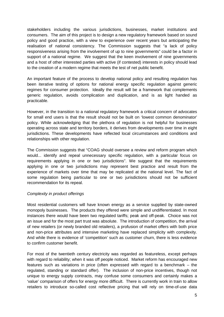stakeholders including the various jurisdictions, businesses, market institutions and consumers. The aim of this project is to design a new regulatory framework based on sound policy and good practice, with a view to experience over recent years but anticipating the realisation of national consistency. The Commission suggests that "a lack of policy responsiveness arising from the involvement of up to nine governments" could be a factor in support of a national regime. We suggest that the keen involvement of nine governments and a host of other interested parties with active (if contested) interests in policy should lead to the creation of a modern regime that meets the test of net public benefit.

An important feature of the process to develop national policy and resulting regulation has been iterative testing of options for national energy specific regulation against generic regimes for consumer protection. Ideally the result will be a framework that complements generic regulation, avoids complication and duplication, and is as light handed as practicable.

However, in the transition to a national regulatory framework a critical concern of advocates for small end users is that the result should not be built on 'lowest common denominator' policy. While acknowledging that the plethora of regulation is not helpful for businesses operating across state and territory borders, it derives from developments over time in eight jurisdictions. These developments have reflected local circumstances and conditions and relationships with other regulation.

The Commission suggests that "COAG should oversee a review and reform program which would... identify and repeal unnecessary specific regulation, with a particular focus on requirements applying in one or two jurisdictions". We suggest that the requirements applying in one or two jurisdictions may represent best practice and result from the experience of markets over time that may be replicated at the national level. The fact of some regulation being particular to one or two jurisdictions should not be sufficient recommendation for its repeal.

#### Complexity in product offerings

Most residential customers will have known energy as a service supplied by state-owned monopoly businesses. The products they offered were simple and undifferentiated. In most instances there would have been two regulated tariffs; peak and off-peak. Choice was not an issue and for the most part trust was absolute. The introduction of competition, the arrival of new retailers (or newly branded old retailers), a profusion of market offers with both price and non-price attributes and intensive marketing have replaced simplicity with complexity. And while there is evidence of 'competition' such as customer churn, there is less evidence to confirm customer benefit.

For most of the twentieth century electricity was regarded as featureless, except perhaps with regard to reliability; when it was off people noticed. Market reform has encouraged new features such as variations in price (often expressed with regard to a benchmark – the regulated, standing or standard offer). The inclusion of non-price incentives, though not unique to energy supply contracts, may confuse some consumers and certainly makes a 'value' comparison of offers for energy more difficult. There is currently work in train to allow retailers to introduce so-called cost reflective pricing that will rely on time-of-use data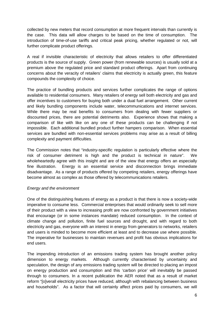collected by new meters that record consumption at more frequent intervals than currently is the case. This data will allow charges to be based on the time of consumption. The introduction of time-of-use tariffs and critical peak pricing, whether regulated or not, will further complicate product offerings.

A real if invisible characteristic of electricity that allows retailers to offer differentiated products is the source of supply. Green power (from renewable sources) is usually sold at a premium above the regulated price and standard product offerings. Apart from continuing concerns about the veracity of retailers' claims that electricity is actually green, this feature compounds the complexity of choice.

The practice of bundling products and services further complicates the range of options available to residential consumers. Many retailers of energy sell both electricity and gas and offer incentives to customers for buying both under a dual fuel arrangement. Other current and likely bundling components include water, telecommunications and internet services. While there may be real benefits to consumers from dealing with fewer suppliers or discounted prices, there are potential detriments also. Experience shows that making a comparison of like with like on any one of these products can be challenging if not impossible. Each additional bundled product further hampers comparison. When essential services are bundled with non-essential services problems may arise as a result of billing complexity and payment difficulties.

The Commission notes that "industry-specific regulation is particularly effective where the risk of consumer detriment is high and the product is technical in nature". We wholeheartedly agree with this insight and are of the view that energy offers an especially fine illustration. Energy is an essential service and disconnection brings immediate disadvantage. As a range of products offered by competing retailers, energy offerings have become almost as complex as those offered by telecommunications retailers.

#### Energy and the environment

One of the distinguishing features of energy as a product is that there is now a society-wide imperative to consume less. Commercial enterprises that would ordinarily seek to sell more of their product with a view to increasing profit are now confronted by government initiatives that encourage (or in some instances mandate) reduced consumption. In the context of climate change and pollution, finite fuel sources and drought, and with regard to both electricity and gas, everyone with an interest in energy from generators to networks, retailers and users is minded to become more efficient at least and to decrease use where possible. The imperative for businesses to maintain revenues and profit has obvious implications for end users.

The impending introduction of an emissions trading system has brought another policy dimension to energy markets. Although currently characterised by uncertainty and speculation, the design of any emissions trading system will be directed to placing an impost on energy production and consumption and this 'carbon price' will inevitably be passed through to consumers. In a recent publication the AER noted that as a result of market reform "[o]verall electricity prices have reduced, although with rebalancing between business and households". As a factor that will certainly affect prices paid by consumers, we will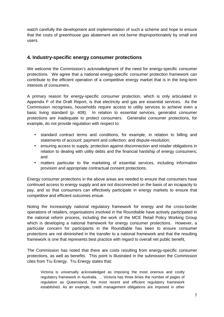watch carefully the development and implementation of such a scheme and hope to ensure that the costs of greenhouse gas abatement are not borne disproportionately by small end users.

### **4. Industry-specific energy consumer protections**

We welcome the Commission's acknowledgment of the need for energy-specific consumer protections. We agree that a national energy-specific consumer protection framework can contribute to the efficient operation of a competitive energy market that is in the long-term interests of consumers.

A primary reason for energy-specific consumer protection, which is only articulated in Appendix F of the Draft Report, is that electricity and gas are essential services. As the Commission recognises, households require access to utility services to achieve even a basic living standard (p. 408). In relation to essential services, generalist consumer protections are inadequate to protect consumers. Generalist consumer protections, for example, do not provide regulation with respect to:

- standard contract terms and conditions, for example, in relation to billing and statements of account; payment and collection; and dispute-resolution;
- ensuring access to supply, protection against disconnection and retailer obligations in relation to dealing with utility debts and the financial hardship of energy consumers; and
- matters particular to the marketing of essential services, including information provision and appropriate contractual consent protections.

Energy consumer protections in the above areas are needed to ensure that consumers have continued access to energy supply and are not disconnected on the basis of an incapacity to pay, and so that consumers can effectively participate in energy markets to ensure that competitive and efficient outcomes ensue.

Noting the increasingly national regulatory framework for energy and the cross-border operations of retailers, organisations involved in the Roundtable have actively participated in the national reform process, including the work of the MCE Retail Policy Working Group which is developing a national framework for energy consumer protections. However, a particular concern for participants in the Roundtable has been to ensure consumer protections are not diminished in the transfer to a national framework and that the resulting framework is one that represents best practice with regard to overall net public benefit,

The Commission has noted that there are costs resulting from energy-specific consumer protections, as well as benefits. This point is illustrated in the submission the Commission cites from Tru Energy. Tru Energy states that:

Victoria is universally acknowledged as imposing the most onerous and costly regulatory framework in Australia. … Victoria has three times the number of pages of regulation as Queensland, the most recent and efficient regulatory framework established. As an example, credit management obligations are imposed in other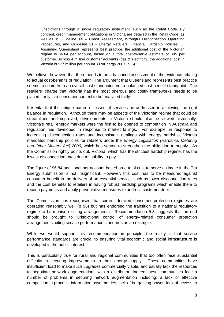jurisdictions through a single regulatory instrument, such as the Retail Code. By contrast, credit management obligations in Victoria are detailed in the Retail Code, as well as in Guideline 14 – Credit Assessment, Wrongful Disconnection Operating Procedures, and Guideline 21 - Energy Retailers' Financial Hardship Policies. … Assuming Queensland represents best practice, the additional cost of the Victorian regime is \$6.84 per account, based on a total cost-to-serve estimate of \$95 per customer. Across 4 million customer accounts (gas & electricity) the additional cost in Victoria is \$27 million per annum. (TruEnergy 2007, p. 5)

We believe, however, that there needs to be a balanced assessment of the evidence relating to actual cost-benefits of regulation. The argument that Queensland represents best practice seems to come from an overall cost standpoint, not a balanced cost-benefit standpoint. The retailers' charge that Victoria has the most onerous and costly frameworks needs to be placed firmly in a consumer context to be analysed fairly.

It is vital that the unique nature of essential services be addressed in achieving the right balance in regulation. Although there may be aspects of the Victorian regime that could be streamlined and improved, developments in Victoria should also be viewed historically. Victoria's retail energy markets were the first to be opened to competition in Australia and regulation has developed in response to market failings. For example, in response to increasing disconnection rates and inconsistent dealings with energy hardship, Victoria mandated hardship policies for retailers under the Energy Legislation (Hardship, Metering and Other Matters Act) 2006, which has served to strengthen the obligation to supply. As the Commission rightly points out, Victoria, which has the strictest hardship regime, has the lowest disconnection rates due to inability to pay.

The figure of \$6.84 additional per account based on a total cost-to-serve estimate in the Tru Energy submission is not insignificant. However, this cost has to be measured against consumer benefit in the delivery of an essential service, such as lower disconnection rates and the cost benefits to retailers in having robust hardship programs which enable them to recoup payments and apply preventative measures to address customer debt.

The Commission has recognised that current detailed consumer protection regimes are operating reasonably well (p 96) but has endorsed the transition to a national regulatory regime to harmonise existing arrangements. Recommendation 5.3 suggests that an end should be brought to jurisdictional control of energy-related consumer protection arrangements, citing service performance standards as an example.

While we would support this recommendation in principle, the reality is that service performance standards are crucial to ensuring vital economic and social infrastructure is developed in the public interest.

This is particularly true for rural and regional communities that too often face substantial difficulty in securing improvements to their energy supply. These communities have insufficient load to make such upgrades commercially viable, and usually lack the resources to negotiate network augmentations with a distributor. Indeed these communities face a number of problems in securing network augmentation including: a lack of effective competition in process; information asymmetries; lack of bargaining power; lack of access to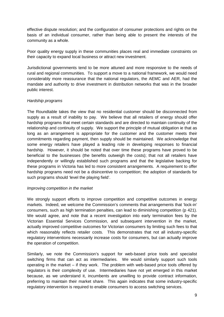effective dispute resolution; and the configuration of consumer protections and rights on the basis of an individual consumer, rather than being able to present the interests of the community as a whole.

Poor quality energy supply in these communities places real and immediate constraints on their capacity to expand local business or attract new investment.

Jurisdictional governments tend to be more attuned and more responsive to the needs of rural and regional communities. To support a move to a national framework, we would need considerably more reassurance that the national regulators, the AEMC and AER, had the mandate and authority to drive investment in distribution networks that was in the broader public interest.

#### Hardship programs

The Roundtable takes the view that no residential customer should be disconnected from supply as a result of inability to pay. We believe that all retailers of energy should offer hardship programs that meet certain standards and are directed to maintain continuity of the relationship and continuity of supply. We support the principle of mutual obligation ie that as long as an arrangement is appropriate for the customer and the customer meets their commitments regarding payment, then supply should be maintained. We acknowledge that some energy retailers have played a leading role in developing responses to financial hardship. However, it should be noted that over time these programs have proved to be beneficial to the businesses (the benefits outweigh the costs); that not all retailers have independently or willingly established such programs and that the legislative backing for these programs in Victoria has led to more consistent arrangements. A requirement to offer hardship programs need not be a disincentive to competition; the adoption of standards for such programs should 'level the playing field'.

#### Improving competition in the market

We strongly support efforts to improve competition and competitive outcomes in energy markets. Indeed, we welcome the Commission's comments that arrangements that 'lock-in' consumers, such as high termination penalties, can lead to diminishing competition (p 421). We would agree, and note that a recent investigation into early termination fees by the Victorian Essential Services Commission, and subsequent intervention in the market, actually improved competitive outcomes for Victorian consumers by limiting such fees to that which reasonably reflects retailer costs. This demonstrates that not all industry-specific regulatory interventions necessarily increase costs for consumers, but can actually improve the operation of competition.

Similarly, we note the Commission's support for web-based price tools and specialist switching firms that can act as intermediaries. We would similarly support such tools operating in the market – if they work. The problem with web-based price tools offered by regulators is their complexity of use. Intermediaries have not yet emerged in this market because, as we understand it, incumbents are unwilling to provide contract information, preferring to maintain their market share. This again indicates that some industry-specific regulatory intervention is required to enable consumers to access switching services.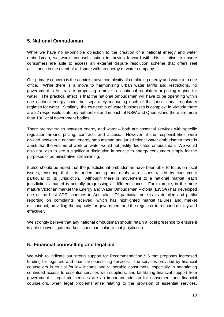#### **5. National Ombudsman**

While we have no in-principle objection to the creation of a national energy and water ombudsman, we would counsel caution in moving forward with this initiative to ensure consumers are able to access an external dispute resolution scheme that offers real assistance in the event of a dispute with an energy or water company.

Our primary concern is the administrative complexity of combining energy and water into one office. While there is a move to harmonising urban water tariffs and restrictions, no government in Australia is proposing a move to a national regulatory or pricing regime for water. The practical effect is that the national ombudsman will have to be operating within one national energy code, but separately managing each of the jurisdictional regulatory regimes for water. Similarly, the ownership of water businesses is complex: in Victoria there are 22 responsible statutory authorities and in each of NSW and Queensland there are more than 100 local government bodies.

There are synergies between energy and water – both are essential services with specific regulation around pricing, contracts and access. However, if the responsibilities were divided between a national energy ombudsman and jurisdictional water ombudsman there is a risk that the volume of work on water would not justify dedicated ombudsman. We would also not wish to see a significant diminution in service to energy consumers simply for the purposes of administrative streamlining.

It also should be noted that the jurisdictional ombudsman have been able to focus on local issues, ensuring that it is understanding and deals with issues raised by consumers particular to its jurisdiction. Although there is movement to a national market, each jurisdiction's market is actually progressing at different paces. For example, in the more mature Victorian market the Energy and Water Ombudsman Victoria (**EWOV**) has developed one of the best ADR schemes in Australia. Of particular note is its detailed and public reporting on complaints received, which has highlighted market failures and market misconduct, providing the capacity for government and the regulator to respond quickly and effectively.

We strongly believe that any national ombudsman should retain a local presence to ensure it is able to investigate market issues particular to that jurisdiction.

## **6. Financial counselling and legal aid**

We wish to indicate our strong support for Recommendation 9.6 that proposes increased funding for legal aid and financial counselling services. The services provided by financial counsellors is crucial for low income and vulnerable consumers, especially in negotiating continued access to essential services with suppliers, and facilitating financial support from government. Legal aid services are an important addition for consumers and financial counsellors, when legal problems arise relating to the provision of essential services.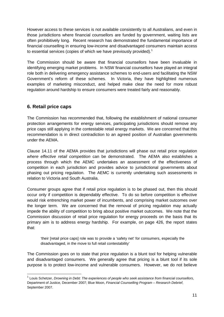However access to these services is not available consistently to all Australians, and even in those jurisdictions where financial counsellors are funded by government, waiting lists are often prohibitively long. Recent research has demonstrated the fundamental importance of financial counselling in ensuring low-income and disadvantaged consumers maintain access to essential services (copies of which we have previously provided).<sup>1</sup>

The Commission should be aware that financial counsellors have been invaluable in identifying emerging market problems. In NSW financial counsellors have played an integral role both in delivering emergency assistance schemes to end-users and facilitating the NSW Government's reform of these schemes. In Victoria, they have highlighted numerous examples of marketing misconduct, and helped make clear the need for more robust regulation around hardship to ensure consumers were treated fairly and reasonably.

## **6. Retail price caps**

 $\overline{a}$ 

The Commission has recommended that, following the establishment of national consumer protection arrangements for energy services, participating jurisdictions should remove any price caps still applying in the contestable retail energy markets. We are concerned that this recommendation is in direct contradiction to an agreed position of Australian governments under the AEMA.

Clause 14.11 of the AEMA provides that jurisdictions will phase out retail price regulation where effective retail competition can be demonstrated. The AEMA also establishes a process through which the AEMC undertakes an assessment of the effectiveness of competition in each jurisdiction and provides advice to jurisdictional governments about phasing out pricing regulation. The AEMC is currently undertaking such assessments in relation to Victoria and South Australia.

Consumer groups agree that if retail price regulation is to be phased out, then this should occur only if competition is dependably effective. To do so before competition is effective would risk entrenching market power of incumbents, and comprising market outcomes over the longer term. We are concerned that the removal of pricing regulation may actually impede the ability of competition to bring about positive market outcomes. We note that the Commission discussion of retail price regulation for energy proceeds on the basis that its primary aim is to address energy hardship. For example, on page 426, the report states that:

'their [retail price caps] role was to provide a 'safety net' for consumers, especially the disadvantaged, in the move to full retail contestability'

The Commission goes on to state that price regulation is a blunt tool for helping vulnerable and disadvantaged consumers. We generally agree that pricing is a blunt tool if its sole purpose is to protect low-income and vulnerable consumers. However, we do not believe

 $1$  Louis Schetzer, Drowning in Debt: The experiences of people who seek assistance from financial counsellors, Department of Justice, December 2007; Blue Moon, Financial Counselling Program – Research Debrief, September 2007.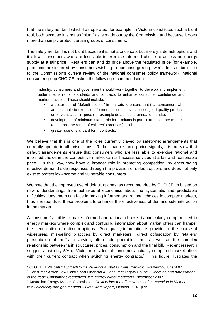that the safety-net tariff which has operated, for example, in Victoria constitutes such a blunt tool, both because it is not as "blunt" as is made out by the Commission and because it does more than simply protect certain groups of consumers.

The safety-net tariff is not blunt because it is not a price cap, but merely a default option, and it allows consumers who are less able to exercise informed choice to access an energy supply at a fair price. Retailers can and do price above the regulated price (for example, premiums are incurred by consumers wishing to purchase green power). In its submission to the Commission's current review of the national consumer policy framework, national consumer group CHOICE makes the following recommendation:

Industry, consumers and government should work together to develop and implement better mechanisms, standards and contracts to enhance consumer confidence and market practices. These should include:

- a better use of "default options" in markets to ensure that that consumers who are less able to exercise informed choice can still access good quality products or services at a fair price (for example default superannuation funds),
- development of minimum standards for products in particular consumer markets (eg across the range of children's products), and
- greater use of standard form contracts. $2$

We believe that this is one of the roles currently played by safety-net arrangements that currently operate in all jurisdictions. Rather than distorting price signals, it is our view that default arrangements ensure that consumers who are less able to exercise rational and informed choice in the competitive market can still access services at a fair and reasonable price. In this way, they have a broader role in promoting competition, by encouraging effective demand side responses through the provision of default options and does not only exist to protect low-income and vulnerable consumers.

We note that the improved use of default options, as recommended by CHOICE, is based on new understandings from behavioural economics about the systematic and predictable difficulties consumers can face in making informed and rational choices in complex markets, thus it responds to these problems to enhance the effectiveness of demand-side interaction in the market.

A consumer's ability to make informed and rational choices is particularly compromised in energy markets where complex and confusing information about market offers can hamper the identification of optimum options. Poor quality information is provided in the course of widespread mis-selling practices by direct marketers, $3$  direct obfuscation by retailers' presentation of tariffs in varying, often indecipherable forms as well as the complex relationship between tariff structures, prices, consumption and the final bill. Recent research suggests that only 5% of Victorian residential consumers actually compared market offers with their current contract when switching energy contracts. $4$  This figure illustrates the

 2 CHOICE, A Principled Approach to the Review of Australia's Consumer Policy Framework, June 2007.

<sup>&</sup>lt;sup>3</sup> Consumer Action Law Centre and Financial & Consumer Rights Council, Coercion and harassment at the door: Consumer experiences with energy direct marketers, November 2007.

<sup>&</sup>lt;sup>4</sup> Australian Energy Market Commission, Review into the effectiveness of competition in Victorian retail electricity and gas markets – First Draft Report, October 2007, p 99.